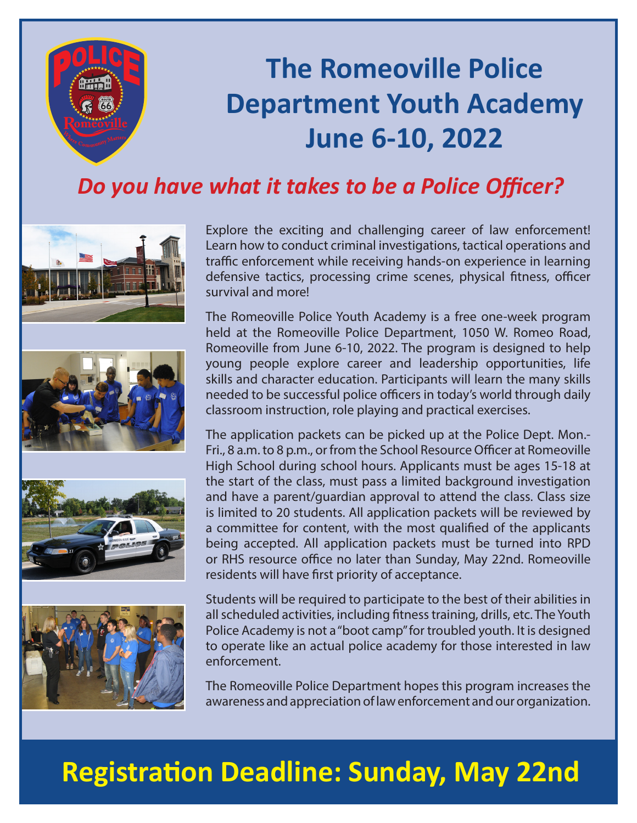

# **The Romeoville Police Department Youth Academy June 6-10, 2022**

## *Do you have what it takes to be a Police Officer?*









Explore the exciting and challenging career of law enforcement! Learn how to conduct criminal investigations, tactical operations and traffic enforcement while receiving hands-on experience in learning defensive tactics, processing crime scenes, physical fitness, officer survival and more!

The Romeoville Police Youth Academy is a free one-week program held at the Romeoville Police Department, 1050 W. Romeo Road, Romeoville from June 6-10, 2022. The program is designed to help young people explore career and leadership opportunities, life skills and character education. Participants will learn the many skills needed to be successful police officers in today's world through daily classroom instruction, role playing and practical exercises.

The application packets can be picked up at the Police Dept. Mon.- Fri., 8 a.m. to 8 p.m., or from the School Resource Officer at Romeoville High School during school hours. Applicants must be ages 15-18 at the start of the class, must pass a limited background investigation and have a parent/guardian approval to attend the class. Class size is limited to 20 students. All application packets will be reviewed by a committee for content, with the most qualified of the applicants being accepted. All application packets must be turned into RPD or RHS resource office no later than Sunday, May 22nd. Romeoville residents will have first priority of acceptance.

Students will be required to participate to the best of their abilities in all scheduled activities, including fitness training, drills, etc. The Youth Police Academy is not a "boot camp" for troubled youth. It is designed to operate like an actual police academy for those interested in law enforcement.

The Romeoville Police Department hopes this program increases the awareness and appreciation of law enforcement and our organization.

## **Registration Deadline: Sunday, May 22nd**